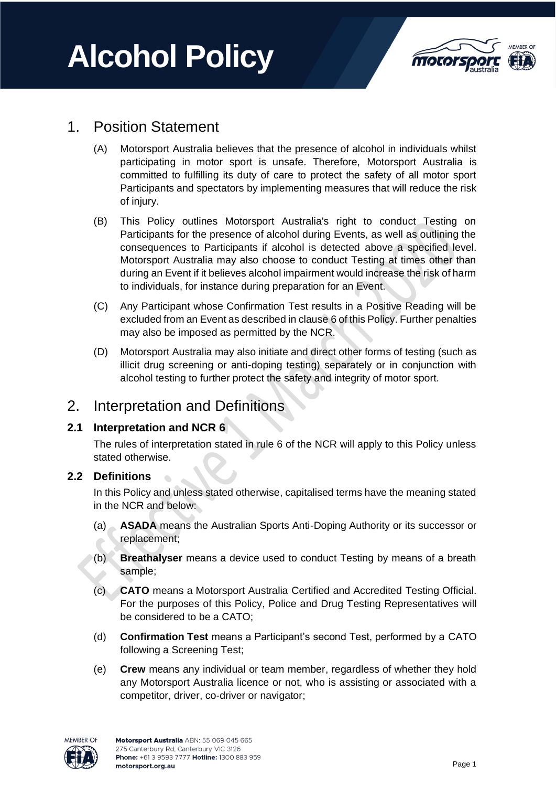# **Alcohol Policy**



# 1. Position Statement

- (A) Motorsport Australia believes that the presence of alcohol in individuals whilst participating in motor sport is unsafe. Therefore, Motorsport Australia is committed to fulfilling its duty of care to protect the safety of all motor sport Participants and spectators by implementing measures that will reduce the risk of injury.
- (B) This Policy outlines Motorsport Australia's right to conduct Testing on Participants for the presence of alcohol during Events, as well as outlining the consequences to Participants if alcohol is detected above a specified level. Motorsport Australia may also choose to conduct Testing at times other than during an Event if it believes alcohol impairment would increase the risk of harm to individuals, for instance during preparation for an Event.
- (C) Any Participant whose Confirmation Test results in a Positive Reading will be excluded from an Event as described in clause 6 of this Policy. Further penalties may also be imposed as permitted by the NCR.
- (D) Motorsport Australia may also initiate and direct other forms of testing (such as illicit drug screening or anti-doping testing) separately or in conjunction with alcohol testing to further protect the safety and integrity of motor sport.

# 2. Interpretation and Definitions

## **2.1 Interpretation and NCR 6**

The rules of interpretation stated in rule 6 of the NCR will apply to this Policy unless stated otherwise.

## **2.2 Definitions**

In this Policy and unless stated otherwise, capitalised terms have the meaning stated in the NCR and below:

- (a) **ASADA** means the Australian Sports Anti-Doping Authority or its successor or replacement;
- (b) **Breathalyser** means a device used to conduct Testing by means of a breath sample;
- (c) **CATO** means a Motorsport Australia Certified and Accredited Testing Official. For the purposes of this Policy, Police and Drug Testing Representatives will be considered to be a CATO;
- (d) **Confirmation Test** means a Participant's second Test, performed by a CATO following a Screening Test;
- (e) **Crew** means any individual or team member, regardless of whether they hold any Motorsport Australia licence or not, who is assisting or associated with a competitor, driver, co-driver or navigator;

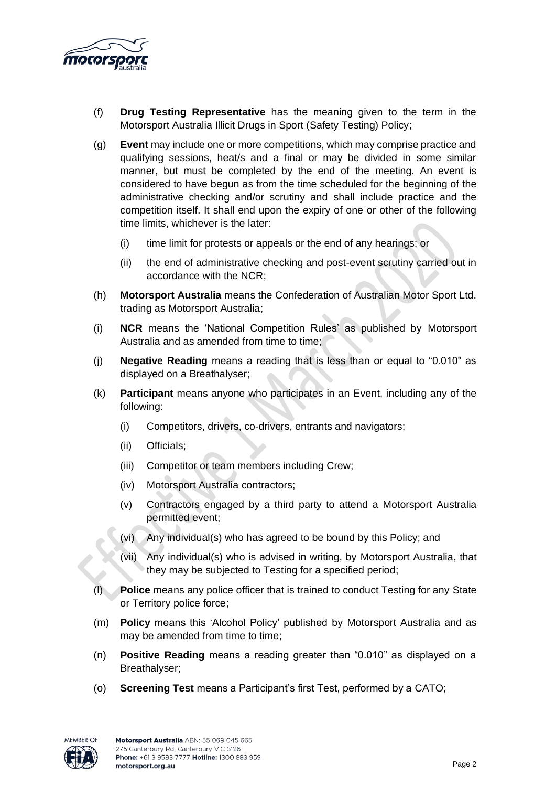

- (f) **Drug Testing Representative** has the meaning given to the term in the Motorsport Australia Illicit Drugs in Sport (Safety Testing) Policy;
- (g) **Event** may include one or more competitions, which may comprise practice and qualifying sessions, heat/s and a final or may be divided in some similar manner, but must be completed by the end of the meeting. An event is considered to have begun as from the time scheduled for the beginning of the administrative checking and/or scrutiny and shall include practice and the competition itself. It shall end upon the expiry of one or other of the following time limits, whichever is the later:
	- (i) time limit for protests or appeals or the end of any hearings; or
	- (ii) the end of administrative checking and post-event scrutiny carried out in accordance with the NCR;
- (h) **Motorsport Australia** means the Confederation of Australian Motor Sport Ltd. trading as Motorsport Australia;
- (i) **NCR** means the 'National Competition Rules' as published by Motorsport Australia and as amended from time to time;
- (j) **Negative Reading** means a reading that is less than or equal to "0.010" as displayed on a Breathalyser;
- (k) **Participant** means anyone who participates in an Event, including any of the following:
	- (i) Competitors, drivers, co-drivers, entrants and navigators;
	- (ii) Officials;
	- (iii) Competitor or team members including Crew;
	- (iv) Motorsport Australia contractors;
	- (v) Contractors engaged by a third party to attend a Motorsport Australia permitted event;
	- (vi) Any individual(s) who has agreed to be bound by this Policy; and
	- (vii) Any individual(s) who is advised in writing, by Motorsport Australia, that they may be subjected to Testing for a specified period;
- **Police** means any police officer that is trained to conduct Testing for any State or Territory police force;
- (m) **Policy** means this 'Alcohol Policy' published by Motorsport Australia and as may be amended from time to time;
- (n) **Positive Reading** means a reading greater than "0.010" as displayed on a Breathalyser;
- (o) **Screening Test** means a Participant's first Test, performed by a CATO;

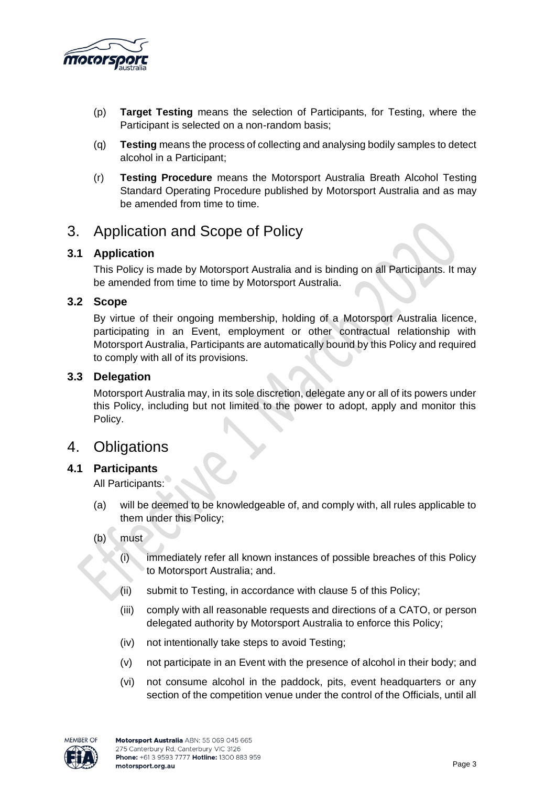

- (p) **Target Testing** means the selection of Participants, for Testing, where the Participant is selected on a non-random basis;
- (q) **Testing** means the process of collecting and analysing bodily samples to detect alcohol in a Participant;
- (r) **Testing Procedure** means the Motorsport Australia Breath Alcohol Testing Standard Operating Procedure published by Motorsport Australia and as may be amended from time to time.

## 3. Application and Scope of Policy

## **3.1 Application**

This Policy is made by Motorsport Australia and is binding on all Participants. It may be amended from time to time by Motorsport Australia.

## **3.2 Scope**

By virtue of their ongoing membership, holding of a Motorsport Australia licence, participating in an Event, employment or other contractual relationship with Motorsport Australia, Participants are automatically bound by this Policy and required to comply with all of its provisions.

#### **3.3 Delegation**

Motorsport Australia may, in its sole discretion, delegate any or all of its powers under this Policy, including but not limited to the power to adopt, apply and monitor this Policy.

## 4. Obligations

## **4.1 Participants**

All Participants:

- (a) will be deemed to be knowledgeable of, and comply with, all rules applicable to them under this Policy;
- $(b)$  must
	- (i) immediately refer all known instances of possible breaches of this Policy to Motorsport Australia; and.
	- (ii) submit to Testing, in accordance with clause 5 of this Policy;
	- (iii) comply with all reasonable requests and directions of a CATO, or person delegated authority by Motorsport Australia to enforce this Policy;
	- (iv) not intentionally take steps to avoid Testing;
	- (v) not participate in an Event with the presence of alcohol in their body; and
	- (vi) not consume alcohol in the paddock, pits, event headquarters or any section of the competition venue under the control of the Officials, until all

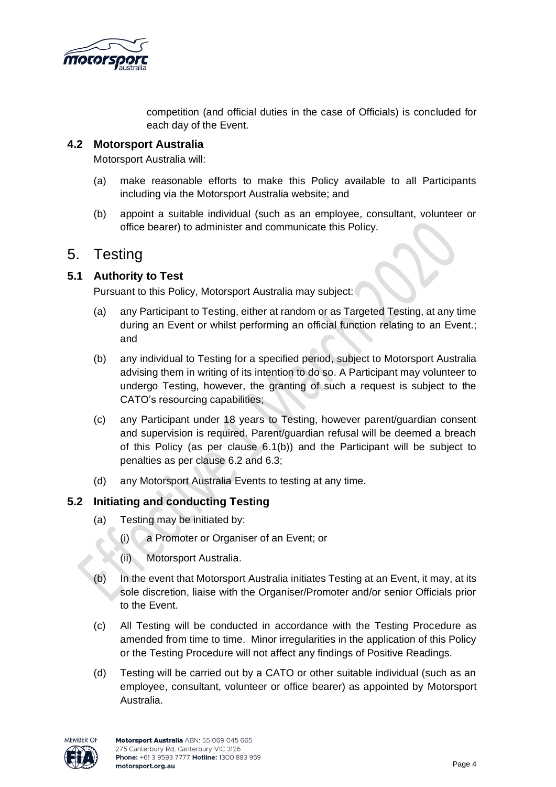

competition (and official duties in the case of Officials) is concluded for each day of the Event.

#### **4.2 Motorsport Australia**

Motorsport Australia will:

- (a) make reasonable efforts to make this Policy available to all Participants including via the Motorsport Australia website; and
- (b) appoint a suitable individual (such as an employee, consultant, volunteer or office bearer) to administer and communicate this Policy.

## 5. Testing

## **5.1 Authority to Test**

Pursuant to this Policy, Motorsport Australia may subject:

- (a) any Participant to Testing, either at random or as Targeted Testing, at any time during an Event or whilst performing an official function relating to an Event.; and
- (b) any individual to Testing for a specified period, subject to Motorsport Australia advising them in writing of its intention to do so. A Participant may volunteer to undergo Testing, however, the granting of such a request is subject to the CATO's resourcing capabilities;
- (c) any Participant under 18 years to Testing, however parent/guardian consent and supervision is required. Parent/guardian refusal will be deemed a breach of this Policy (as per clause 6.1(b)) and the Participant will be subject to penalties as per clause 6.2 and 6.3;
- (d) any Motorsport Australia Events to testing at any time.

## **5.2 Initiating and conducting Testing**

- (a) Testing may be initiated by:
	- (i) a Promoter or Organiser of an Event; or
	- (ii) Motorsport Australia.
- (b) In the event that Motorsport Australia initiates Testing at an Event, it may, at its sole discretion, liaise with the Organiser/Promoter and/or senior Officials prior to the Event.
- (c) All Testing will be conducted in accordance with the Testing Procedure as amended from time to time. Minor irregularities in the application of this Policy or the Testing Procedure will not affect any findings of Positive Readings.
- (d) Testing will be carried out by a CATO or other suitable individual (such as an employee, consultant, volunteer or office bearer) as appointed by Motorsport Australia.

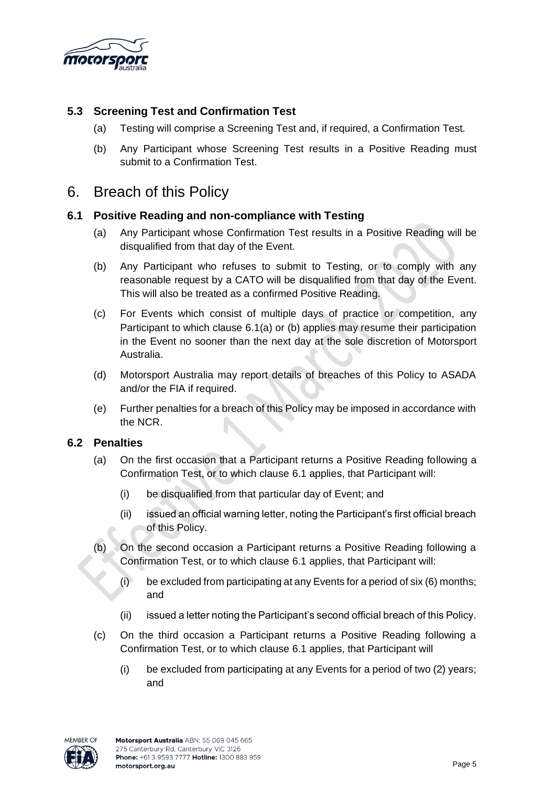

## **5.3 Screening Test and Confirmation Test**

- (a) Testing will comprise a Screening Test and, if required, a Confirmation Test.
- (b) Any Participant whose Screening Test results in a Positive Reading must submit to a Confirmation Test.

## 6. Breach of this Policy

## **6.1 Positive Reading and non-compliance with Testing**

- (a) Any Participant whose Confirmation Test results in a Positive Reading will be disqualified from that day of the Event.
- (b) Any Participant who refuses to submit to Testing, or to comply with any reasonable request by a CATO will be disqualified from that day of the Event. This will also be treated as a confirmed Positive Reading.
- (c) For Events which consist of multiple days of practice or competition, any Participant to which clause 6.1(a) or (b) applies may resume their participation in the Event no sooner than the next day at the sole discretion of Motorsport Australia.
- (d) Motorsport Australia may report details of breaches of this Policy to ASADA and/or the FIA if required.
- (e) Further penalties for a breach of this Policy may be imposed in accordance with the NCR.

## **6.2 Penalties**

- (a) On the first occasion that a Participant returns a Positive Reading following a Confirmation Test, or to which clause 6.1 applies, that Participant will:
	- (i) be disqualified from that particular day of Event; and
	- (ii) issued an official warning letter, noting the Participant's first official breach of this Policy.
- (b) On the second occasion a Participant returns a Positive Reading following a Confirmation Test, or to which clause 6.1 applies, that Participant will:
	- $(i)$  be excluded from participating at any Events for a period of six  $(6)$  months; and
	- (ii) issued a letter noting the Participant's second official breach of this Policy.
- (c) On the third occasion a Participant returns a Positive Reading following a Confirmation Test, or to which clause 6.1 applies, that Participant will
	- (i) be excluded from participating at any Events for a period of two (2) years; and